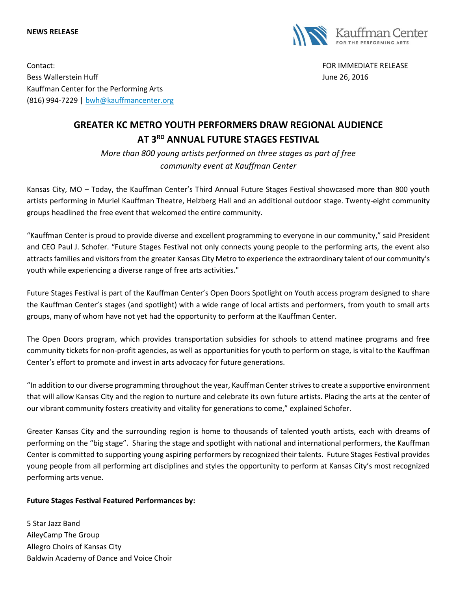#### **NEWS RELEASE**



Contact: FOR IMMEDIATE RELEASE Bess Wallerstein Huff **Gallerstein Huff**  $\sim$  2016 Kauffman Center for the Performing Arts (816) 994-7229 | [bwh@kauffmancenter.org](mailto:bwh@kauffmancenter.org)

# **GREATER KC METRO YOUTH PERFORMERS DRAW REGIONAL AUDIENCE AT 3RD ANNUAL FUTURE STAGES FESTIVAL**

*More than 800 young artists performed on three stages as part of free community event at Kauffman Center*

Kansas City, MO – Today, the Kauffman Center's Third Annual Future Stages Festival showcased more than 800 youth artists performing in Muriel Kauffman Theatre, Helzberg Hall and an additional outdoor stage. Twenty-eight community groups headlined the free event that welcomed the entire community.

"Kauffman Center is proud to provide diverse and excellent programming to everyone in our community," said President and CEO Paul J. Schofer. "Future Stages Festival not only connects young people to the performing arts, the event also attracts families and visitors from the greater Kansas City Metro to experience the extraordinary talent of our community's youth while experiencing a diverse range of free arts activities."

Future Stages Festival is part of the Kauffman Center's Open Doors Spotlight on Youth access program designed to share the Kauffman Center's stages (and spotlight) with a wide range of local artists and performers, from youth to small arts groups, many of whom have not yet had the opportunity to perform at the Kauffman Center.

The Open Doors program, which provides transportation subsidies for schools to attend matinee programs and free community tickets for non-profit agencies, as well as opportunities for youth to perform on stage, is vital to the Kauffman Center's effort to promote and invest in arts advocacy for future generations.

"In addition to our diverse programming throughout the year, Kauffman Center strives to create a supportive environment that will allow Kansas City and the region to nurture and celebrate its own future artists. Placing the arts at the center of our vibrant community fosters creativity and vitality for generations to come," explained Schofer.

Greater Kansas City and the surrounding region is home to thousands of talented youth artists, each with dreams of performing on the "big stage". Sharing the stage and spotlight with national and international performers, the Kauffman Center is committed to supporting young aspiring performers by recognized their talents. Future Stages Festival provides young people from all performing art disciplines and styles the opportunity to perform at Kansas City's most recognized performing arts venue.

## **Future Stages Festival Featured Performances by:**

5 Star Jazz Band AileyCamp The Group Allegro Choirs of Kansas City Baldwin Academy of Dance and Voice Choir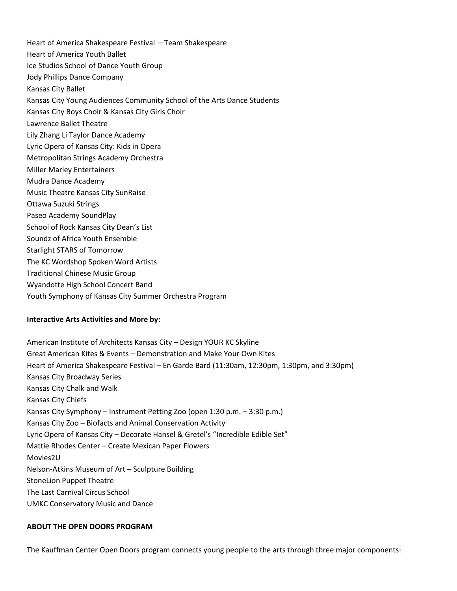Heart of America Shakespeare Festival —Team Shakespeare Heart of America Youth Ballet Ice Studios School of Dance Youth Group Jody Phillips Dance Company Kansas City Ballet Kansas City Young Audiences Community School of the Arts Dance Students Kansas City Boys Choir & Kansas City Girls Choir Lawrence Ballet Theatre Lily Zhang Li Taylor Dance Academy Lyric Opera of Kansas City: Kids in Opera Metropolitan Strings Academy Orchestra Miller Marley Entertainers Mudra Dance Academy Music Theatre Kansas City SunRaise Ottawa Suzuki Strings Paseo Academy SoundPlay School of Rock Kansas City Dean's List Soundz of Africa Youth Ensemble Starlight STARS of Tomorrow The KC Wordshop Spoken Word Artists Traditional Chinese Music Group Wyandotte High School Concert Band Youth Symphony of Kansas City Summer Orchestra Program

### **Interactive Arts Activities and More by:**

American Institute of Architects Kansas City – Design YOUR KC Skyline Great American Kites & Events – Demonstration and Make Your Own Kites Heart of America Shakespeare Festival – En Garde Bard (11:30am, 12:30pm, 1:30pm, and 3:30pm) Kansas City Broadway Series Kansas City Chalk and Walk Kansas City Chiefs Kansas City Symphony – Instrument Petting Zoo (open 1:30 p.m. – 3:30 p.m.) Kansas City Zoo – Biofacts and Animal Conservation Activity Lyric Opera of Kansas City – Decorate Hansel & Gretel's "Incredible Edible Set" Mattie Rhodes Center – Create Mexican Paper Flowers Movies2U Nelson-Atkins Museum of Art – Sculpture Building StoneLion Puppet Theatre The Last Carnival Circus School UMKC Conservatory Music and Dance

### **ABOUT THE OPEN DOORS PROGRAM**

The Kauffman Center Open Doors program connects young people to the arts through three major components: